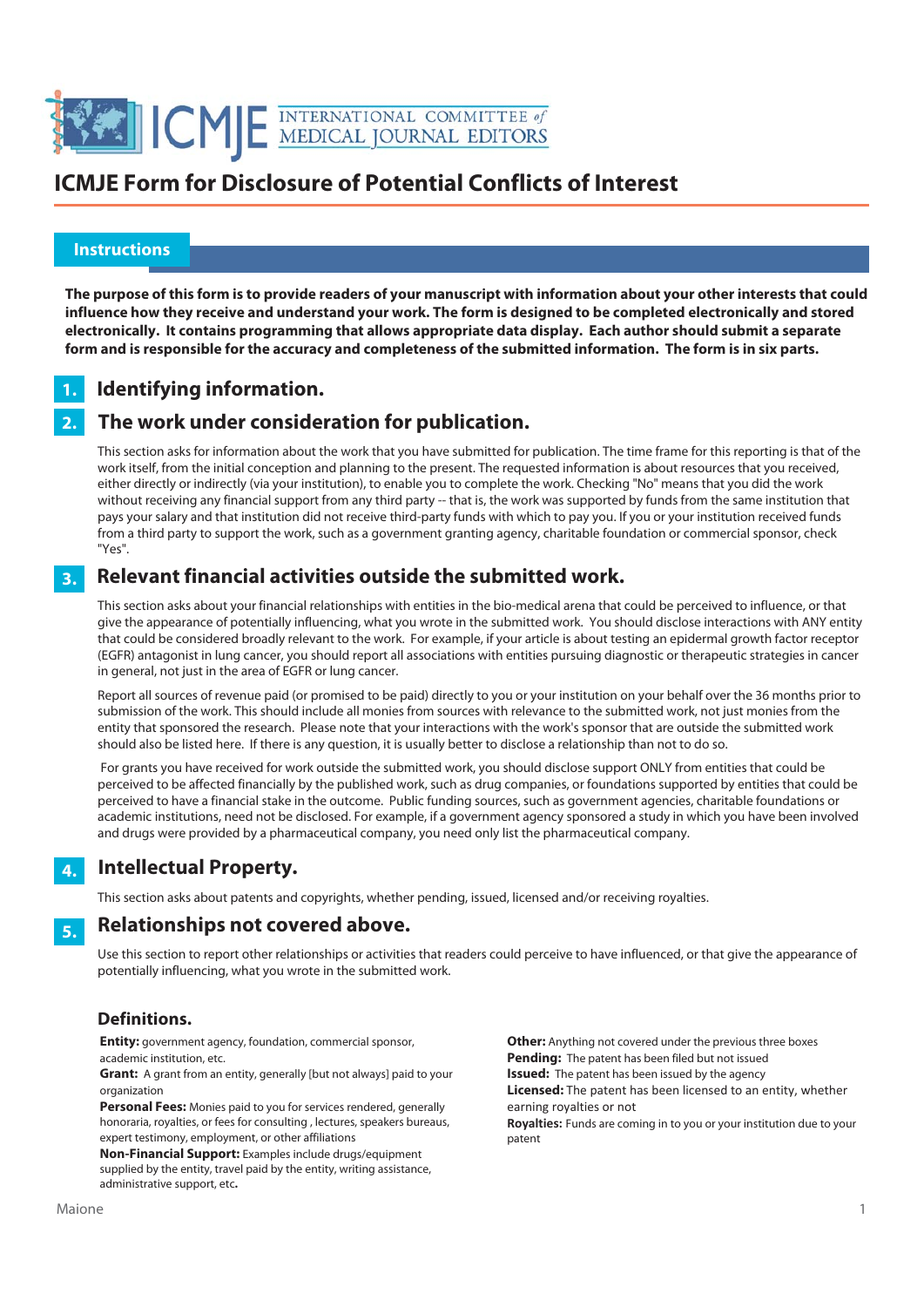

### **Instructions**

 l

> **The purpose of this form is to provide readers of your manuscript with information about your other interests that could influence how they receive and understand your work. The form is designed to be completed electronically and stored electronically. It contains programming that allows appropriate data display. Each author should submit a separate form and is responsible for the accuracy and completeness of the submitted information. The form is in six parts.**

#### **Identifying information. 1.**

### **The work under consideration for publication. 2.**

This section asks for information about the work that you have submitted for publication. The time frame for this reporting is that of the work itself, from the initial conception and planning to the present. The requested information is about resources that you received, either directly or indirectly (via your institution), to enable you to complete the work. Checking "No" means that you did the work without receiving any financial support from any third party -- that is, the work was supported by funds from the same institution that pays your salary and that institution did not receive third-party funds with which to pay you. If you or your institution received funds from a third party to support the work, such as a government granting agency, charitable foundation or commercial sponsor, check "Yes".

### **Relevant financial activities outside the submitted work. 3.**

This section asks about your financial relationships with entities in the bio-medical arena that could be perceived to influence, or that give the appearance of potentially influencing, what you wrote in the submitted work. You should disclose interactions with ANY entity that could be considered broadly relevant to the work. For example, if your article is about testing an epidermal growth factor receptor (EGFR) antagonist in lung cancer, you should report all associations with entities pursuing diagnostic or therapeutic strategies in cancer in general, not just in the area of EGFR or lung cancer.

Report all sources of revenue paid (or promised to be paid) directly to you or your institution on your behalf over the 36 months prior to submission of the work. This should include all monies from sources with relevance to the submitted work, not just monies from the entity that sponsored the research. Please note that your interactions with the work's sponsor that are outside the submitted work should also be listed here. If there is any question, it is usually better to disclose a relationship than not to do so.

 For grants you have received for work outside the submitted work, you should disclose support ONLY from entities that could be perceived to be affected financially by the published work, such as drug companies, or foundations supported by entities that could be perceived to have a financial stake in the outcome. Public funding sources, such as government agencies, charitable foundations or academic institutions, need not be disclosed. For example, if a government agency sponsored a study in which you have been involved and drugs were provided by a pharmaceutical company, you need only list the pharmaceutical company.

#### **Intellectual Property. 4.**

This section asks about patents and copyrights, whether pending, issued, licensed and/or receiving royalties.

### **Relationships not covered above. 5.**

Use this section to report other relationships or activities that readers could perceive to have influenced, or that give the appearance of potentially influencing, what you wrote in the submitted work.

patent

## **Definitions.**

**Entity:** government agency, foundation, commercial sponsor, academic institution, etc.

**Grant:** A grant from an entity, generally [but not always] paid to your organization

**Personal Fees:** Monies paid to you for services rendered, generally honoraria, royalties, or fees for consulting , lectures, speakers bureaus, expert testimony, employment, or other affiliations

**Non-Financial Support:** Examples include drugs/equipment supplied by the entity, travel paid by the entity, writing assistance, administrative support, etc**.**

**Other:** Anything not covered under the previous three boxes **Pending:** The patent has been filed but not issued **Issued:** The patent has been issued by the agency **Licensed:** The patent has been licensed to an entity, whether earning royalties or not **Royalties:** Funds are coming in to you or your institution due to your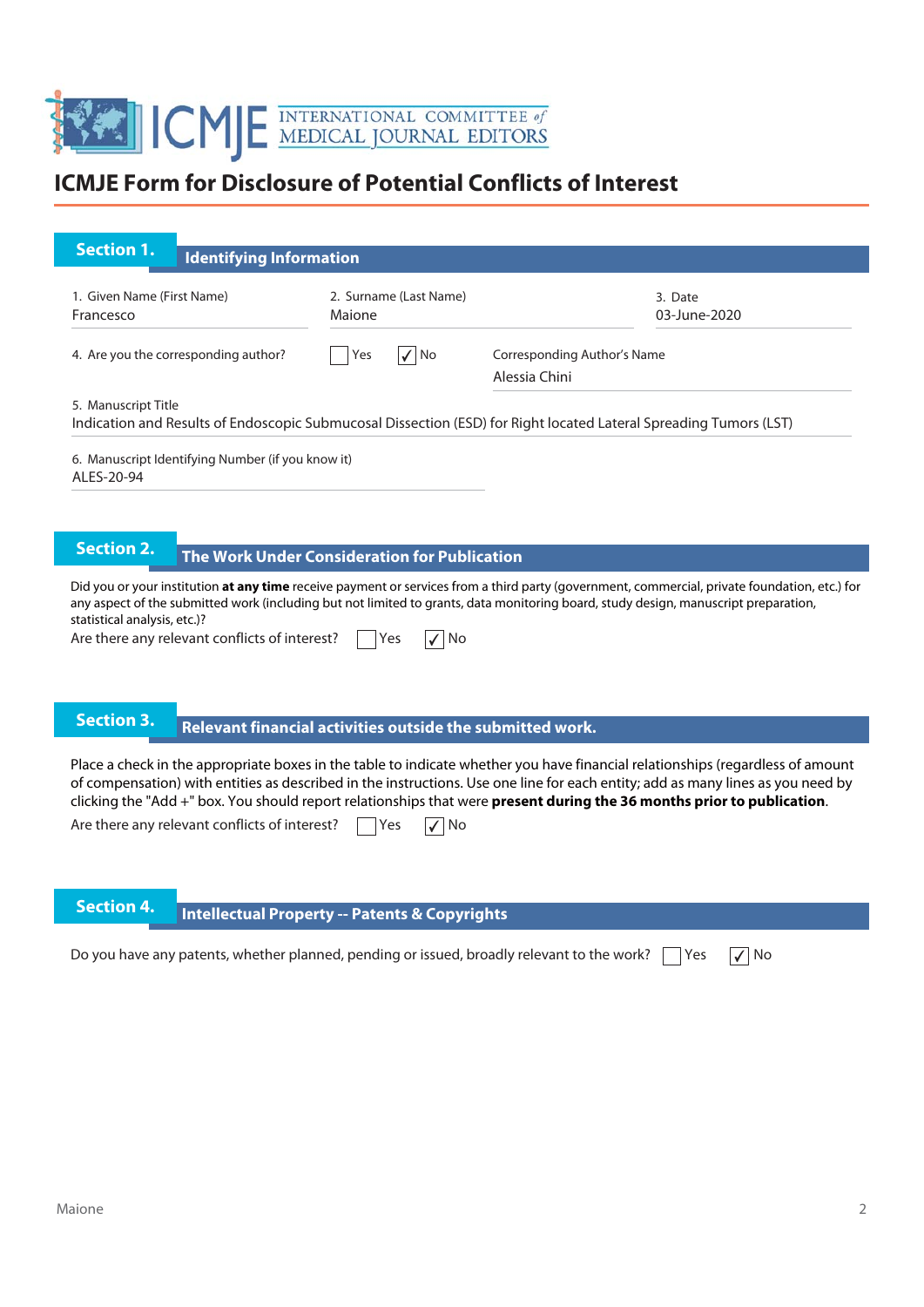

| <b>Section 1.</b>                                                                                                                                                                                                                                                                                                                                                                                                                                                                            | <b>Identifying Information</b> |                                                          |                                              |  |  |
|----------------------------------------------------------------------------------------------------------------------------------------------------------------------------------------------------------------------------------------------------------------------------------------------------------------------------------------------------------------------------------------------------------------------------------------------------------------------------------------------|--------------------------------|----------------------------------------------------------|----------------------------------------------|--|--|
| 1. Given Name (First Name)<br>Francesco                                                                                                                                                                                                                                                                                                                                                                                                                                                      |                                | 2. Surname (Last Name)<br>Maione                         | 3. Date<br>03-June-2020                      |  |  |
| 4. Are you the corresponding author?                                                                                                                                                                                                                                                                                                                                                                                                                                                         |                                | $\sqrt{N}$<br>Yes                                        | Corresponding Author's Name<br>Alessia Chini |  |  |
| 5. Manuscript Title<br>Indication and Results of Endoscopic Submucosal Dissection (ESD) for Right located Lateral Spreading Tumors (LST)                                                                                                                                                                                                                                                                                                                                                     |                                |                                                          |                                              |  |  |
| 6. Manuscript Identifying Number (if you know it)<br>ALES-20-94                                                                                                                                                                                                                                                                                                                                                                                                                              |                                |                                                          |                                              |  |  |
|                                                                                                                                                                                                                                                                                                                                                                                                                                                                                              |                                |                                                          |                                              |  |  |
| <b>Section 2.</b><br><b>The Work Under Consideration for Publication</b>                                                                                                                                                                                                                                                                                                                                                                                                                     |                                |                                                          |                                              |  |  |
| Did you or your institution at any time receive payment or services from a third party (government, commercial, private foundation, etc.) for<br>any aspect of the submitted work (including but not limited to grants, data monitoring board, study design, manuscript preparation,<br>statistical analysis, etc.)?<br>Are there any relevant conflicts of interest?<br>$\checkmark$<br>No<br>Yes                                                                                           |                                |                                                          |                                              |  |  |
| <b>Section 3.</b><br>Relevant financial activities outside the submitted work.                                                                                                                                                                                                                                                                                                                                                                                                               |                                |                                                          |                                              |  |  |
| Place a check in the appropriate boxes in the table to indicate whether you have financial relationships (regardless of amount<br>of compensation) with entities as described in the instructions. Use one line for each entity; add as many lines as you need by<br>clicking the "Add +" box. You should report relationships that were present during the 36 months prior to publication.<br>Are there any relevant conflicts of interest?<br>No<br><b>Yes</b><br>$\overline{\mathcal{L}}$ |                                |                                                          |                                              |  |  |
| <b>Section 4.</b>                                                                                                                                                                                                                                                                                                                                                                                                                                                                            |                                | <b>Intellectual Property -- Patents &amp; Copyrights</b> |                                              |  |  |
|                                                                                                                                                                                                                                                                                                                                                                                                                                                                                              |                                |                                                          |                                              |  |  |

Do you have any patents, whether planned, pending or issued, broadly relevant to the work?  $\Box$  Yes  $\Box$  No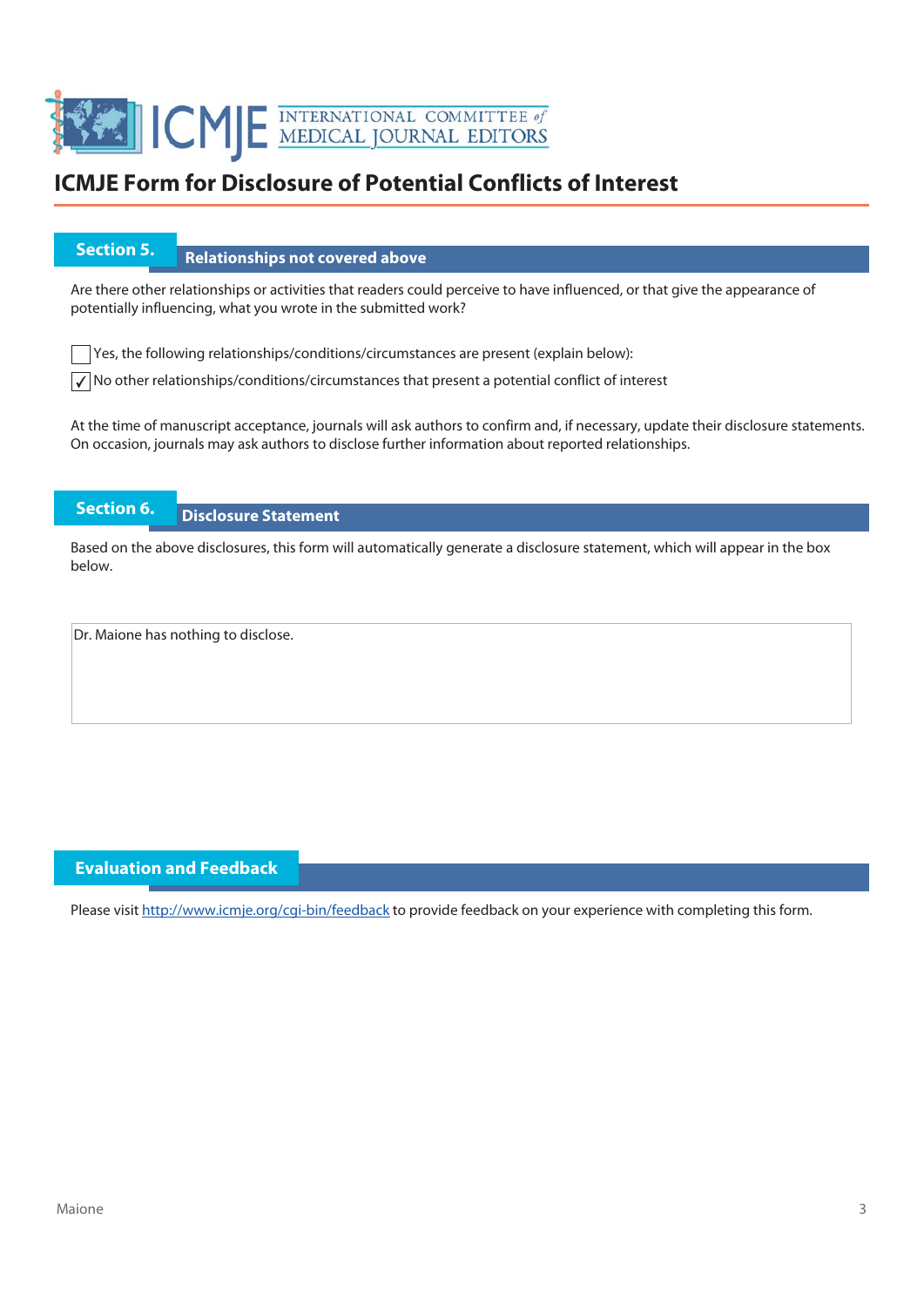

## **Section 5.** Relationships not covered above

Are there other relationships or activities that readers could perceive to have influenced, or that give the appearance of potentially influencing, what you wrote in the submitted work?

 $\Box$  Yes, the following relationships/conditions/circumstances are present (explain below):

 $\sqrt{\phantom{a}}$  No other relationships/conditions/circumstances that present a potential conflict of interest

At the time of manuscript acceptance, journals will ask authors to confirm and, if necessary, update their disclosure statements. On occasion, journals may ask authors to disclose further information about reported relationships.

## **Section 6. Disclosure Statement**

Based on the above disclosures, this form will automatically generate a disclosure statement, which will appear in the box below.

Dr. Maione has nothing to disclose.

## **Evaluation and Feedback**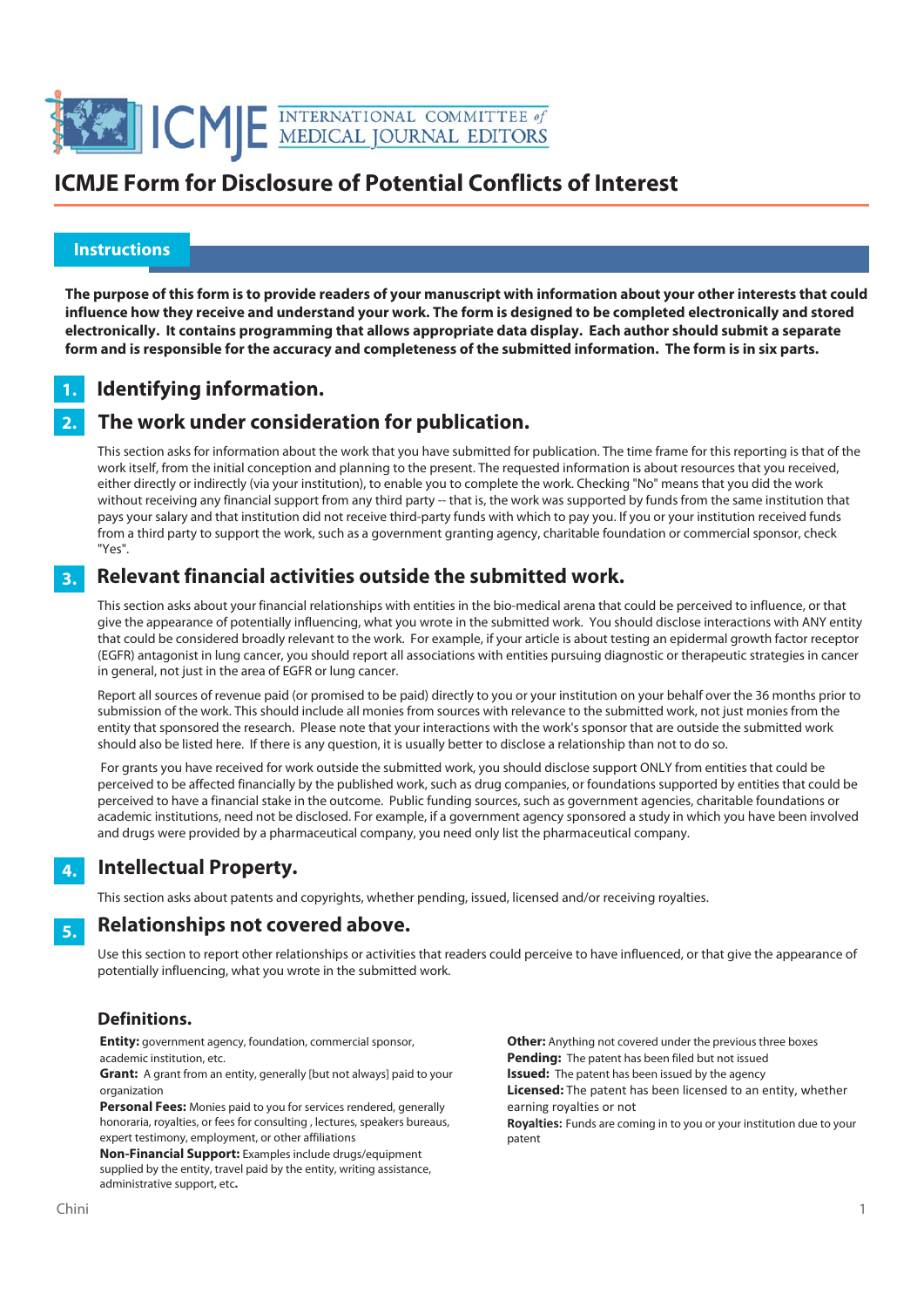

### **Instructions**

 l

> **The purpose of this form is to provide readers of your manuscript with information about your other interests that could influence how they receive and understand your work. The form is designed to be completed electronically and stored electronically. It contains programming that allows appropriate data display. Each author should submit a separate form and is responsible for the accuracy and completeness of the submitted information. The form is in six parts.**

#### **Identifying information. 1.**

### **The work under consideration for publication. 2.**

This section asks for information about the work that you have submitted for publication. The time frame for this reporting is that of the work itself, from the initial conception and planning to the present. The requested information is about resources that you received, either directly or indirectly (via your institution), to enable you to complete the work. Checking "No" means that you did the work without receiving any financial support from any third party -- that is, the work was supported by funds from the same institution that pays your salary and that institution did not receive third-party funds with which to pay you. If you or your institution received funds from a third party to support the work, such as a government granting agency, charitable foundation or commercial sponsor, check "Yes".

### **Relevant financial activities outside the submitted work. 3.**

This section asks about your financial relationships with entities in the bio-medical arena that could be perceived to influence, or that give the appearance of potentially influencing, what you wrote in the submitted work. You should disclose interactions with ANY entity that could be considered broadly relevant to the work. For example, if your article is about testing an epidermal growth factor receptor (EGFR) antagonist in lung cancer, you should report all associations with entities pursuing diagnostic or therapeutic strategies in cancer in general, not just in the area of EGFR or lung cancer.

Report all sources of revenue paid (or promised to be paid) directly to you or your institution on your behalf over the 36 months prior to submission of the work. This should include all monies from sources with relevance to the submitted work, not just monies from the entity that sponsored the research. Please note that your interactions with the work's sponsor that are outside the submitted work should also be listed here. If there is any question, it is usually better to disclose a relationship than not to do so.

 For grants you have received for work outside the submitted work, you should disclose support ONLY from entities that could be perceived to be affected financially by the published work, such as drug companies, or foundations supported by entities that could be perceived to have a financial stake in the outcome. Public funding sources, such as government agencies, charitable foundations or academic institutions, need not be disclosed. For example, if a government agency sponsored a study in which you have been involved and drugs were provided by a pharmaceutical company, you need only list the pharmaceutical company.

#### **Intellectual Property. 4.**

This section asks about patents and copyrights, whether pending, issued, licensed and/or receiving royalties.

### **Relationships not covered above. 5.**

Use this section to report other relationships or activities that readers could perceive to have influenced, or that give the appearance of potentially influencing, what you wrote in the submitted work.

## **Definitions.**

**Entity:** government agency, foundation, commercial sponsor, academic institution, etc.

**Grant:** A grant from an entity, generally [but not always] paid to your organization

**Personal Fees:** Monies paid to you for services rendered, generally honoraria, royalties, or fees for consulting , lectures, speakers bureaus, expert testimony, employment, or other affiliations

**Non-Financial Support:** Examples include drugs/equipment supplied by the entity, travel paid by the entity, writing assistance, administrative support, etc**.**

**Other:** Anything not covered under the previous three boxes **Pending:** The patent has been filed but not issued **Issued:** The patent has been issued by the agency **Licensed:** The patent has been licensed to an entity, whether earning royalties or not **Royalties:** Funds are coming in to you or your institution due to your patent

Chini **1**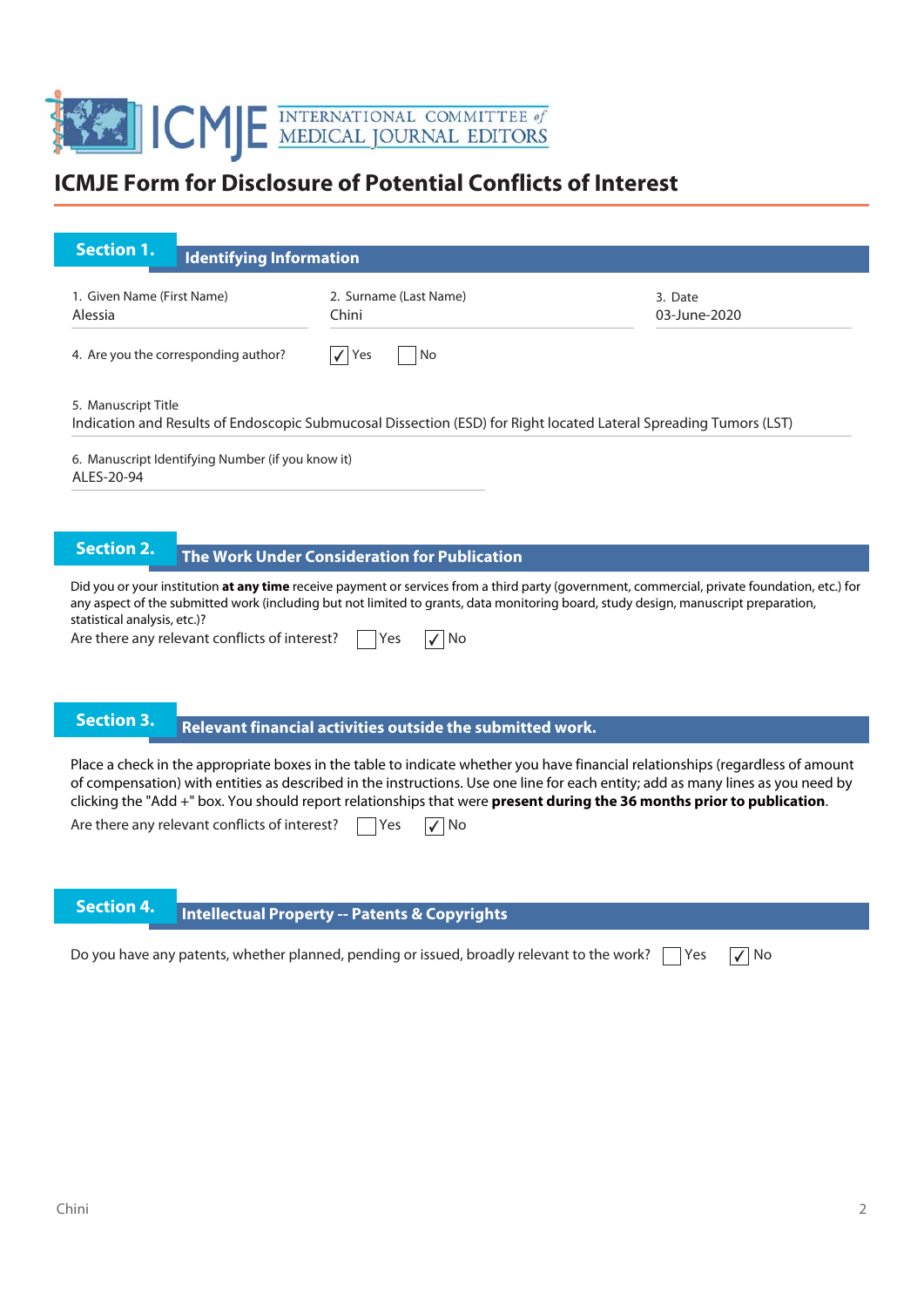

| <b>Section 1.</b>                                                                                                                                                                                                                                                                                                                                                                                                                                                      |                                                          |                                                                                                                   |  |  |  |
|------------------------------------------------------------------------------------------------------------------------------------------------------------------------------------------------------------------------------------------------------------------------------------------------------------------------------------------------------------------------------------------------------------------------------------------------------------------------|----------------------------------------------------------|-------------------------------------------------------------------------------------------------------------------|--|--|--|
|                                                                                                                                                                                                                                                                                                                                                                                                                                                                        | <b>Identifying Information</b>                           |                                                                                                                   |  |  |  |
| 1. Given Name (First Name)<br>Alessia                                                                                                                                                                                                                                                                                                                                                                                                                                  | 2. Surname (Last Name)<br>Chini                          | 3. Date<br>03-June-2020                                                                                           |  |  |  |
| 4. Are you the corresponding author?                                                                                                                                                                                                                                                                                                                                                                                                                                   | $\checkmark$ Yes<br>No                                   |                                                                                                                   |  |  |  |
| 5. Manuscript Title                                                                                                                                                                                                                                                                                                                                                                                                                                                    |                                                          | Indication and Results of Endoscopic Submucosal Dissection (ESD) for Right located Lateral Spreading Tumors (LST) |  |  |  |
| 6. Manuscript Identifying Number (if you know it)<br>ALES-20-94                                                                                                                                                                                                                                                                                                                                                                                                        |                                                          |                                                                                                                   |  |  |  |
|                                                                                                                                                                                                                                                                                                                                                                                                                                                                        |                                                          |                                                                                                                   |  |  |  |
| <b>Section 2.</b>                                                                                                                                                                                                                                                                                                                                                                                                                                                      | <b>The Work Under Consideration for Publication</b>      |                                                                                                                   |  |  |  |
| Did you or your institution at any time receive payment or services from a third party (government, commercial, private foundation, etc.) for<br>any aspect of the submitted work (including but not limited to grants, data monitoring board, study design, manuscript preparation,<br>statistical analysis, etc.)?<br>Are there any relevant conflicts of interest?<br>No<br>Yes<br>$\sqrt{}$                                                                        |                                                          |                                                                                                                   |  |  |  |
| <b>Section 3.</b><br>Relevant financial activities outside the submitted work.                                                                                                                                                                                                                                                                                                                                                                                         |                                                          |                                                                                                                   |  |  |  |
| Place a check in the appropriate boxes in the table to indicate whether you have financial relationships (regardless of amount<br>of compensation) with entities as described in the instructions. Use one line for each entity; add as many lines as you need by<br>clicking the "Add +" box. You should report relationships that were present during the 36 months prior to publication.<br>Are there any relevant conflicts of interest?<br>$\sqrt{}$<br>No<br>Yes |                                                          |                                                                                                                   |  |  |  |
| <b>Section 4.</b>                                                                                                                                                                                                                                                                                                                                                                                                                                                      | <b>Intellectual Property -- Patents &amp; Copyrights</b> |                                                                                                                   |  |  |  |
| Do you have any patents, whether planned, pending or issued, broadly relevant to the work?<br><b>No</b><br>Yes<br>$\sqrt{}$                                                                                                                                                                                                                                                                                                                                            |                                                          |                                                                                                                   |  |  |  |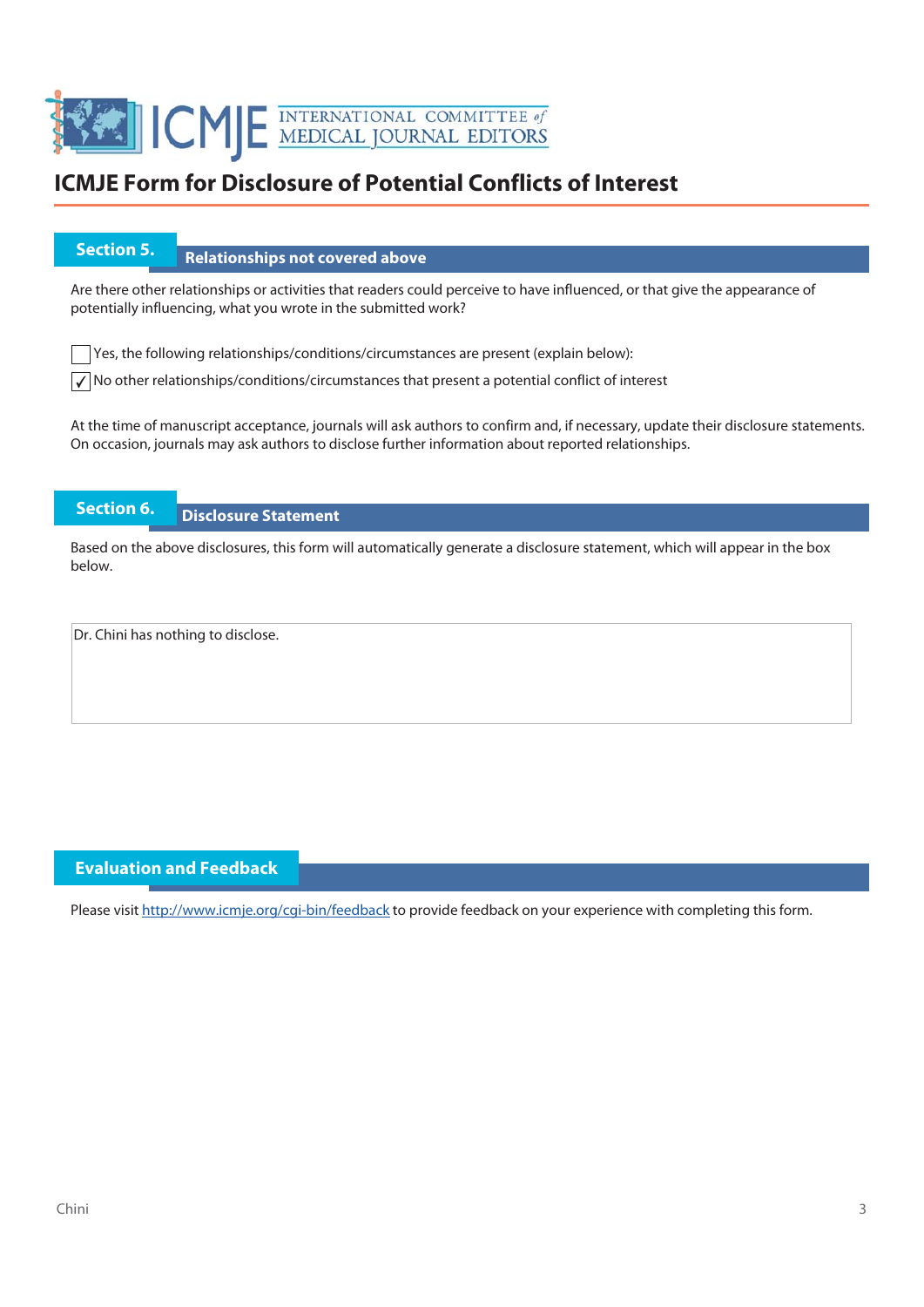

# **Section 5.** Relationships not covered above

Are there other relationships or activities that readers could perceive to have influenced, or that give the appearance of potentially influencing, what you wrote in the submitted work?

 $\Box$  Yes, the following relationships/conditions/circumstances are present (explain below):

 $\sqrt{\phantom{a}}$  No other relationships/conditions/circumstances that present a potential conflict of interest

At the time of manuscript acceptance, journals will ask authors to confirm and, if necessary, update their disclosure statements. On occasion, journals may ask authors to disclose further information about reported relationships.

## **Section 6. Disclosure Statement**

Based on the above disclosures, this form will automatically generate a disclosure statement, which will appear in the box below.

Dr. Chini has nothing to disclose.

## **Evaluation and Feedback**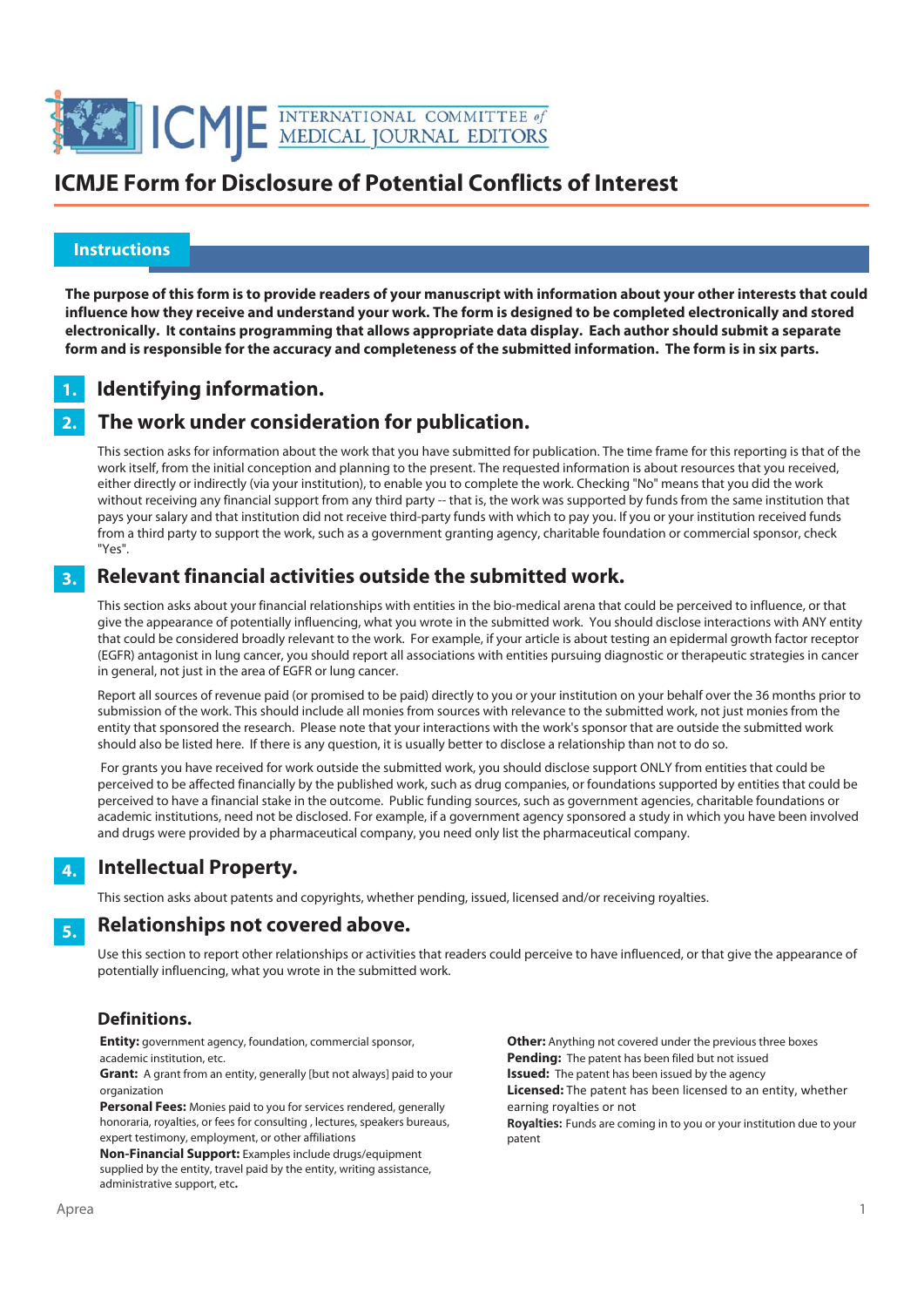

### **Instructions**

 l

> **The purpose of this form is to provide readers of your manuscript with information about your other interests that could influence how they receive and understand your work. The form is designed to be completed electronically and stored electronically. It contains programming that allows appropriate data display. Each author should submit a separate form and is responsible for the accuracy and completeness of the submitted information. The form is in six parts.**

#### **Identifying information. 1.**

### **The work under consideration for publication. 2.**

This section asks for information about the work that you have submitted for publication. The time frame for this reporting is that of the work itself, from the initial conception and planning to the present. The requested information is about resources that you received, either directly or indirectly (via your institution), to enable you to complete the work. Checking "No" means that you did the work without receiving any financial support from any third party -- that is, the work was supported by funds from the same institution that pays your salary and that institution did not receive third-party funds with which to pay you. If you or your institution received funds from a third party to support the work, such as a government granting agency, charitable foundation or commercial sponsor, check "Yes".

### **Relevant financial activities outside the submitted work. 3.**

This section asks about your financial relationships with entities in the bio-medical arena that could be perceived to influence, or that give the appearance of potentially influencing, what you wrote in the submitted work. You should disclose interactions with ANY entity that could be considered broadly relevant to the work. For example, if your article is about testing an epidermal growth factor receptor (EGFR) antagonist in lung cancer, you should report all associations with entities pursuing diagnostic or therapeutic strategies in cancer in general, not just in the area of EGFR or lung cancer.

Report all sources of revenue paid (or promised to be paid) directly to you or your institution on your behalf over the 36 months prior to submission of the work. This should include all monies from sources with relevance to the submitted work, not just monies from the entity that sponsored the research. Please note that your interactions with the work's sponsor that are outside the submitted work should also be listed here. If there is any question, it is usually better to disclose a relationship than not to do so.

 For grants you have received for work outside the submitted work, you should disclose support ONLY from entities that could be perceived to be affected financially by the published work, such as drug companies, or foundations supported by entities that could be perceived to have a financial stake in the outcome. Public funding sources, such as government agencies, charitable foundations or academic institutions, need not be disclosed. For example, if a government agency sponsored a study in which you have been involved and drugs were provided by a pharmaceutical company, you need only list the pharmaceutical company.

### **Intellectual Property. 4.**

This section asks about patents and copyrights, whether pending, issued, licensed and/or receiving royalties.

### **Relationships not covered above. 5.**

Use this section to report other relationships or activities that readers could perceive to have influenced, or that give the appearance of potentially influencing, what you wrote in the submitted work.

## **Definitions.**

**Entity:** government agency, foundation, commercial sponsor, academic institution, etc.

**Grant:** A grant from an entity, generally [but not always] paid to your organization

**Personal Fees:** Monies paid to you for services rendered, generally honoraria, royalties, or fees for consulting , lectures, speakers bureaus, expert testimony, employment, or other affiliations

**Non-Financial Support:** Examples include drugs/equipment supplied by the entity, travel paid by the entity, writing assistance, administrative support, etc**.**

**Other:** Anything not covered under the previous three boxes **Pending:** The patent has been filed but not issued **Issued:** The patent has been issued by the agency **Licensed:** The patent has been licensed to an entity, whether earning royalties or not **Royalties:** Funds are coming in to you or your institution due to your patent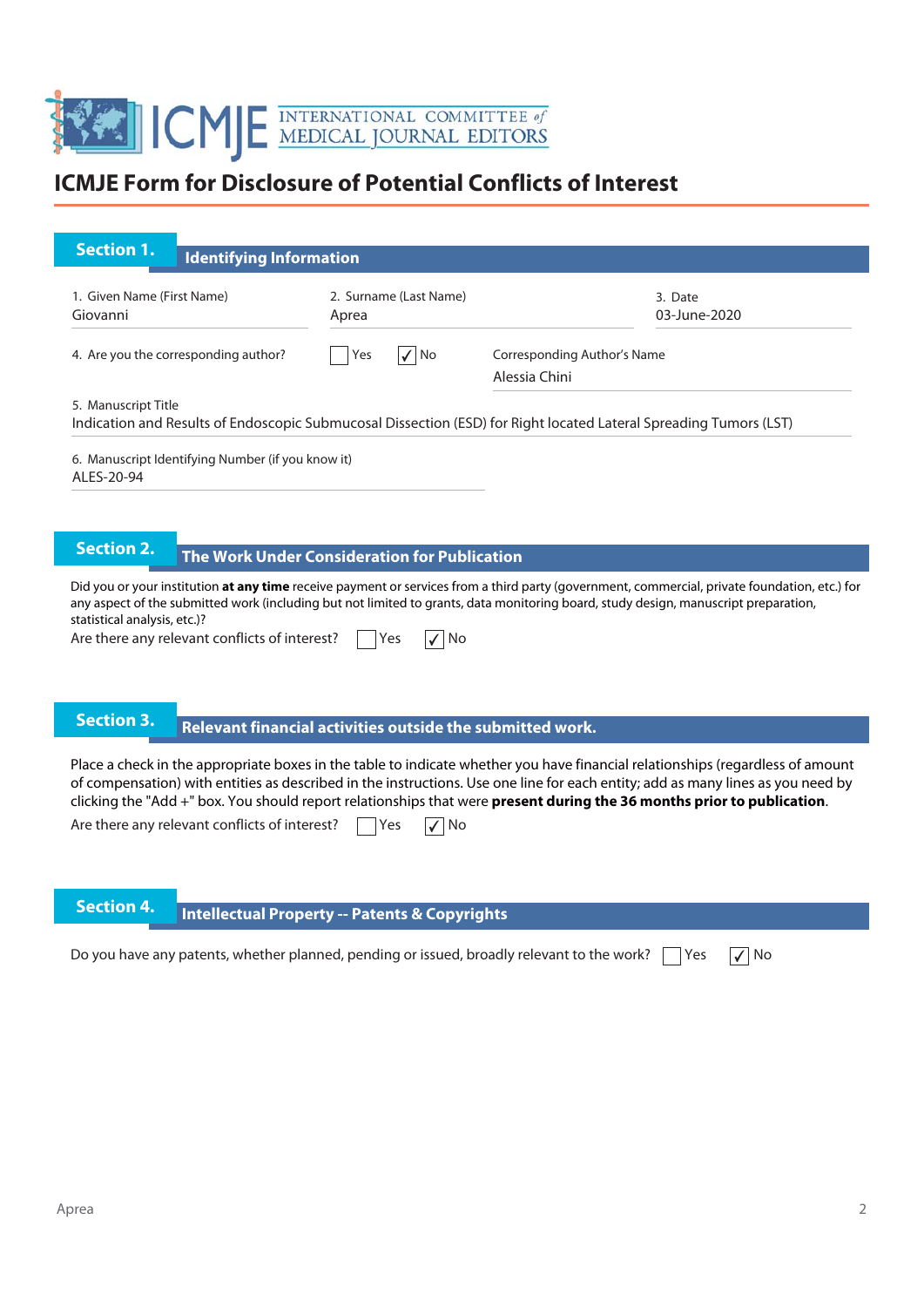

| <b>Section 1.</b>                                                                                                                                                                                                                                                                                                                                                                                                                                              | <b>Identifying Information</b>                                                                                                           |                                                          |                                                                                                                             |  |  |  |
|----------------------------------------------------------------------------------------------------------------------------------------------------------------------------------------------------------------------------------------------------------------------------------------------------------------------------------------------------------------------------------------------------------------------------------------------------------------|------------------------------------------------------------------------------------------------------------------------------------------|----------------------------------------------------------|-----------------------------------------------------------------------------------------------------------------------------|--|--|--|
| 1. Given Name (First Name)<br>Giovanni                                                                                                                                                                                                                                                                                                                                                                                                                         |                                                                                                                                          | 2. Surname (Last Name)<br>Aprea                          | 3. Date<br>03-June-2020                                                                                                     |  |  |  |
| 4. Are you the corresponding author?                                                                                                                                                                                                                                                                                                                                                                                                                           |                                                                                                                                          | No<br>Yes<br>$\checkmark$                                | Corresponding Author's Name<br>Alessia Chini                                                                                |  |  |  |
|                                                                                                                                                                                                                                                                                                                                                                                                                                                                | 5. Manuscript Title<br>Indication and Results of Endoscopic Submucosal Dissection (ESD) for Right located Lateral Spreading Tumors (LST) |                                                          |                                                                                                                             |  |  |  |
| 6. Manuscript Identifying Number (if you know it)<br>ALES-20-94                                                                                                                                                                                                                                                                                                                                                                                                |                                                                                                                                          |                                                          |                                                                                                                             |  |  |  |
| <b>Section 2.</b>                                                                                                                                                                                                                                                                                                                                                                                                                                              |                                                                                                                                          |                                                          |                                                                                                                             |  |  |  |
| The Work Under Consideration for Publication<br>Did you or your institution at any time receive payment or services from a third party (government, commercial, private foundation, etc.) for<br>any aspect of the submitted work (including but not limited to grants, data monitoring board, study design, manuscript preparation,<br>statistical analysis, etc.)?<br>Are there any relevant conflicts of interest?<br>No<br>Yes<br>$\sqrt{}$                |                                                                                                                                          |                                                          |                                                                                                                             |  |  |  |
| <b>Section 3.</b><br>Relevant financial activities outside the submitted work.                                                                                                                                                                                                                                                                                                                                                                                 |                                                                                                                                          |                                                          |                                                                                                                             |  |  |  |
| Place a check in the appropriate boxes in the table to indicate whether you have financial relationships (regardless of amount<br>of compensation) with entities as described in the instructions. Use one line for each entity; add as many lines as you need by<br>clicking the "Add +" box. You should report relationships that were present during the 36 months prior to publication.<br>Are there any relevant conflicts of interest?<br>No<br>Yes<br>✓ |                                                                                                                                          |                                                          |                                                                                                                             |  |  |  |
| <b>Section 4.</b>                                                                                                                                                                                                                                                                                                                                                                                                                                              |                                                                                                                                          | <b>Intellectual Property -- Patents &amp; Copyrights</b> |                                                                                                                             |  |  |  |
|                                                                                                                                                                                                                                                                                                                                                                                                                                                                |                                                                                                                                          |                                                          | Do you have any patents, whether planned, pending or issued, broadly relevant to the work?<br><b>No</b><br>Yes<br>$\sqrt{}$ |  |  |  |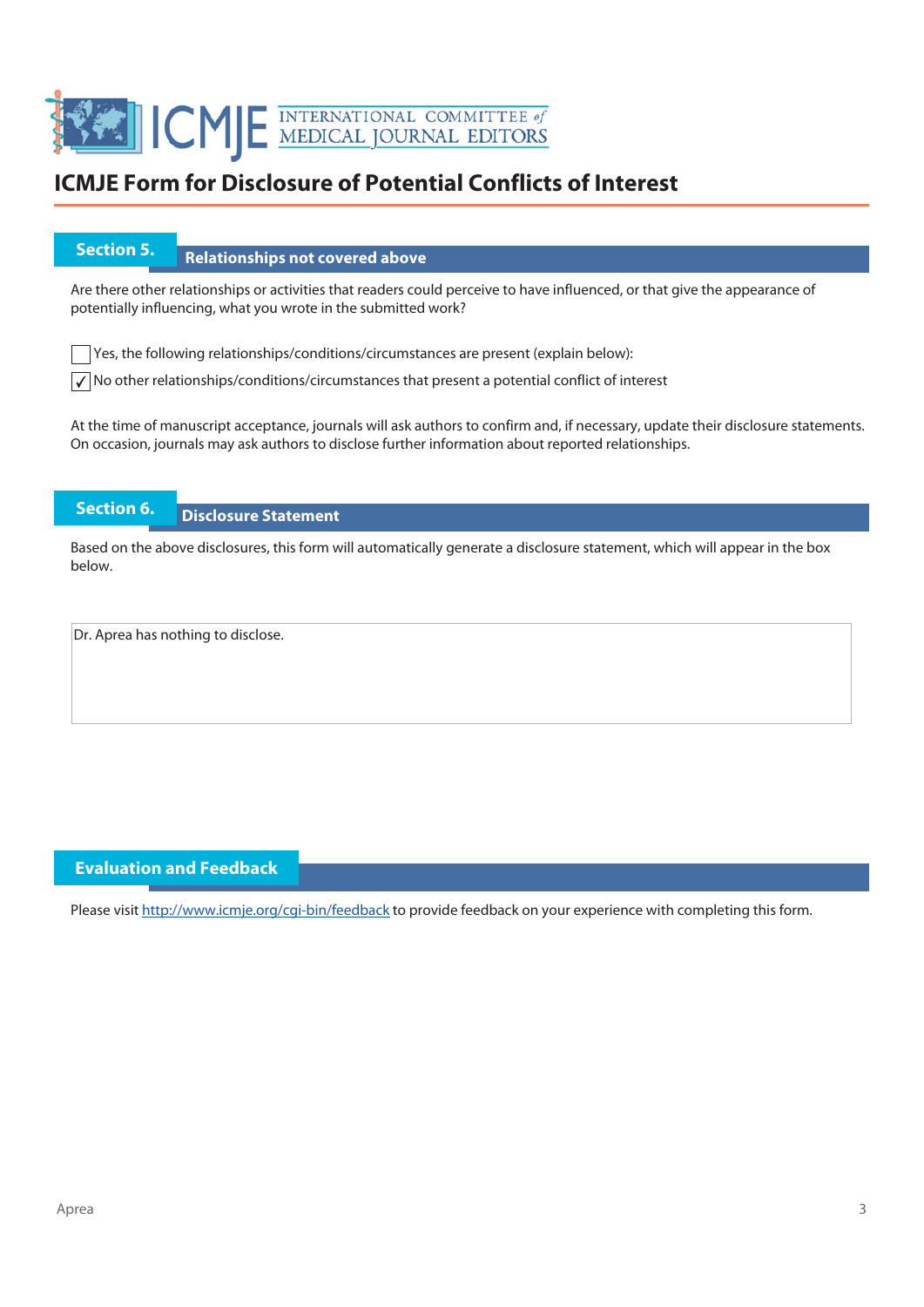

## **Section 5.** Relationships not covered above

Are there other relationships or activities that readers could perceive to have influenced, or that give the appearance of potentially influencing, what you wrote in the submitted work?

 $\Box$  Yes, the following relationships/conditions/circumstances are present (explain below):

 $\sqrt{\phantom{a}}$  No other relationships/conditions/circumstances that present a potential conflict of interest

At the time of manuscript acceptance, journals will ask authors to confirm and, if necessary, update their disclosure statements. On occasion, journals may ask authors to disclose further information about reported relationships.

## **Section 6. Disclosure Statement**

Based on the above disclosures, this form will automatically generate a disclosure statement, which will appear in the box below.

Dr. Aprea has nothing to disclose.

## **Evaluation and Feedback**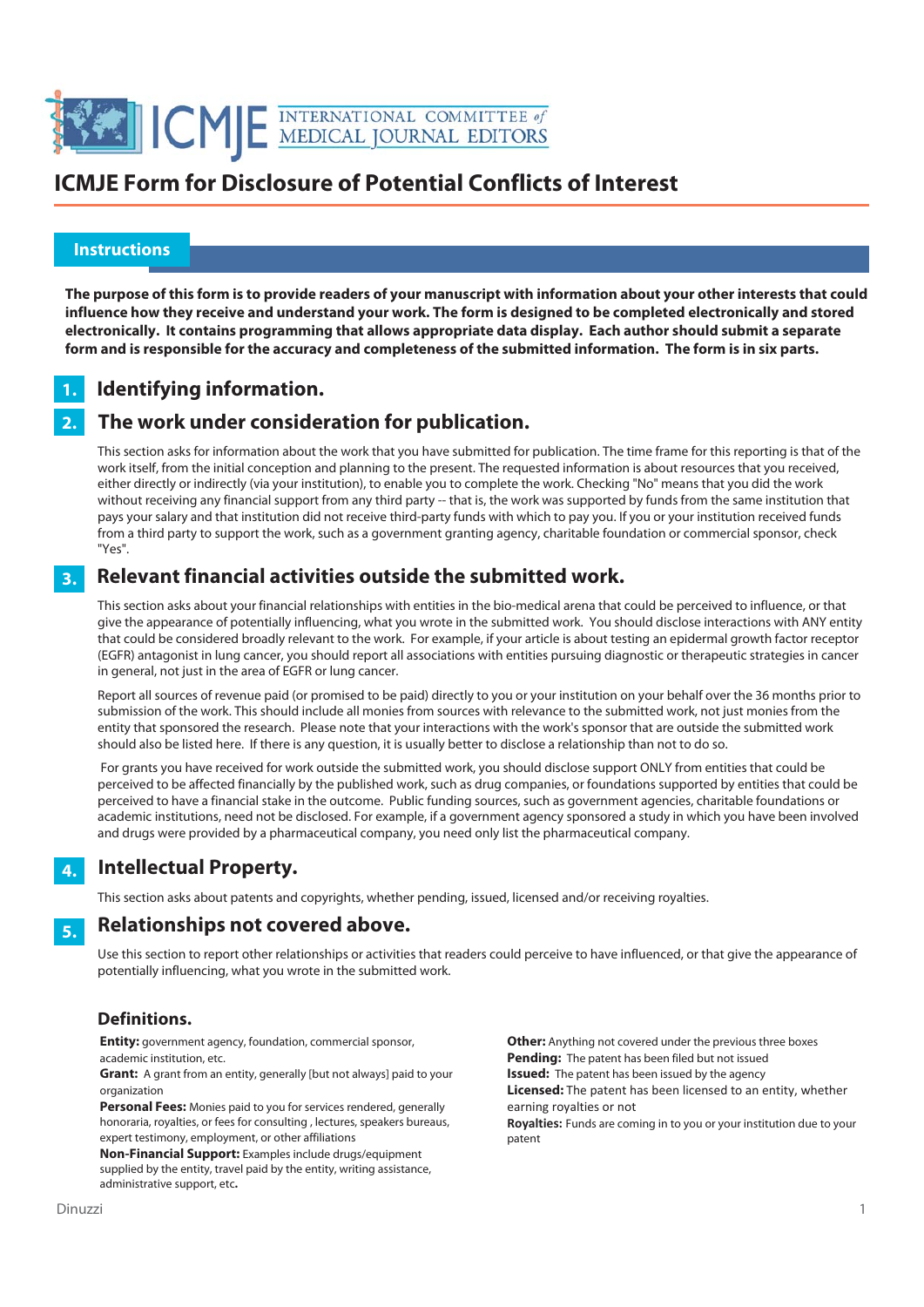

### **Instructions**

 l

> **The purpose of this form is to provide readers of your manuscript with information about your other interests that could influence how they receive and understand your work. The form is designed to be completed electronically and stored electronically. It contains programming that allows appropriate data display. Each author should submit a separate form and is responsible for the accuracy and completeness of the submitted information. The form is in six parts.**

#### **Identifying information. 1.**

### **The work under consideration for publication. 2.**

This section asks for information about the work that you have submitted for publication. The time frame for this reporting is that of the work itself, from the initial conception and planning to the present. The requested information is about resources that you received, either directly or indirectly (via your institution), to enable you to complete the work. Checking "No" means that you did the work without receiving any financial support from any third party -- that is, the work was supported by funds from the same institution that pays your salary and that institution did not receive third-party funds with which to pay you. If you or your institution received funds from a third party to support the work, such as a government granting agency, charitable foundation or commercial sponsor, check "Yes".

### **Relevant financial activities outside the submitted work. 3.**

This section asks about your financial relationships with entities in the bio-medical arena that could be perceived to influence, or that give the appearance of potentially influencing, what you wrote in the submitted work. You should disclose interactions with ANY entity that could be considered broadly relevant to the work. For example, if your article is about testing an epidermal growth factor receptor (EGFR) antagonist in lung cancer, you should report all associations with entities pursuing diagnostic or therapeutic strategies in cancer in general, not just in the area of EGFR or lung cancer.

Report all sources of revenue paid (or promised to be paid) directly to you or your institution on your behalf over the 36 months prior to submission of the work. This should include all monies from sources with relevance to the submitted work, not just monies from the entity that sponsored the research. Please note that your interactions with the work's sponsor that are outside the submitted work should also be listed here. If there is any question, it is usually better to disclose a relationship than not to do so.

 For grants you have received for work outside the submitted work, you should disclose support ONLY from entities that could be perceived to be affected financially by the published work, such as drug companies, or foundations supported by entities that could be perceived to have a financial stake in the outcome. Public funding sources, such as government agencies, charitable foundations or academic institutions, need not be disclosed. For example, if a government agency sponsored a study in which you have been involved and drugs were provided by a pharmaceutical company, you need only list the pharmaceutical company.

#### **Intellectual Property. 4.**

This section asks about patents and copyrights, whether pending, issued, licensed and/or receiving royalties.

### **Relationships not covered above. 5.**

Use this section to report other relationships or activities that readers could perceive to have influenced, or that give the appearance of potentially influencing, what you wrote in the submitted work.

## **Definitions.**

**Entity:** government agency, foundation, commercial sponsor, academic institution, etc.

**Grant:** A grant from an entity, generally [but not always] paid to your organization

**Personal Fees:** Monies paid to you for services rendered, generally honoraria, royalties, or fees for consulting , lectures, speakers bureaus, expert testimony, employment, or other affiliations

**Non-Financial Support:** Examples include drugs/equipment supplied by the entity, travel paid by the entity, writing assistance, administrative support, etc**.**

**Other:** Anything not covered under the previous three boxes **Pending:** The patent has been filed but not issued **Issued:** The patent has been issued by the agency **Licensed:** The patent has been licensed to an entity, whether earning royalties or not **Royalties:** Funds are coming in to you or your institution due to your patent

Dinuzzi 1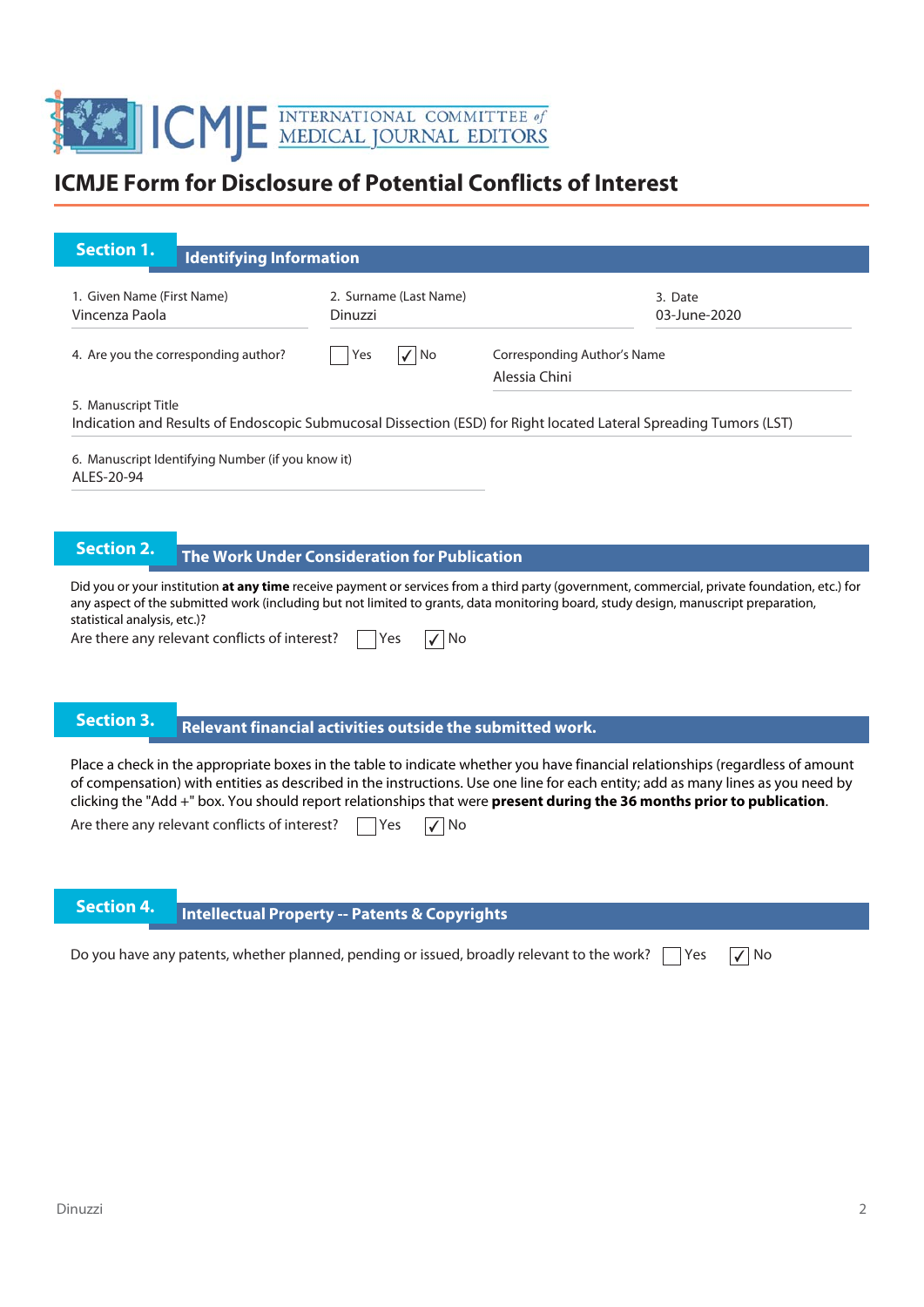

| <b>Section 1.</b>                                                                                                                                                                                                                                                                                                                                                                                                                                                                            | <b>Identifying Information</b>                                                                                                           |                                                          |                                              |                         |  |
|----------------------------------------------------------------------------------------------------------------------------------------------------------------------------------------------------------------------------------------------------------------------------------------------------------------------------------------------------------------------------------------------------------------------------------------------------------------------------------------------|------------------------------------------------------------------------------------------------------------------------------------------|----------------------------------------------------------|----------------------------------------------|-------------------------|--|
| 1. Given Name (First Name)<br>Vincenza Paola                                                                                                                                                                                                                                                                                                                                                                                                                                                 |                                                                                                                                          | 2. Surname (Last Name)<br>Dinuzzi                        |                                              | 3. Date<br>03-June-2020 |  |
| 4. Are you the corresponding author?                                                                                                                                                                                                                                                                                                                                                                                                                                                         |                                                                                                                                          | Yes<br>$\sqrt{ N}$                                       | Corresponding Author's Name<br>Alessia Chini |                         |  |
|                                                                                                                                                                                                                                                                                                                                                                                                                                                                                              | 5. Manuscript Title<br>Indication and Results of Endoscopic Submucosal Dissection (ESD) for Right located Lateral Spreading Tumors (LST) |                                                          |                                              |                         |  |
| 6. Manuscript Identifying Number (if you know it)<br>ALES-20-94                                                                                                                                                                                                                                                                                                                                                                                                                              |                                                                                                                                          |                                                          |                                              |                         |  |
|                                                                                                                                                                                                                                                                                                                                                                                                                                                                                              |                                                                                                                                          |                                                          |                                              |                         |  |
| <b>Section 2.</b>                                                                                                                                                                                                                                                                                                                                                                                                                                                                            |                                                                                                                                          | <b>The Work Under Consideration for Publication</b>      |                                              |                         |  |
| Did you or your institution at any time receive payment or services from a third party (government, commercial, private foundation, etc.) for<br>any aspect of the submitted work (including but not limited to grants, data monitoring board, study design, manuscript preparation,<br>statistical analysis, etc.)?<br>Are there any relevant conflicts of interest?<br>No<br>Yes<br>$\sqrt{}$                                                                                              |                                                                                                                                          |                                                          |                                              |                         |  |
| <b>Section 3.</b><br>Relevant financial activities outside the submitted work.                                                                                                                                                                                                                                                                                                                                                                                                               |                                                                                                                                          |                                                          |                                              |                         |  |
| Place a check in the appropriate boxes in the table to indicate whether you have financial relationships (regardless of amount<br>of compensation) with entities as described in the instructions. Use one line for each entity; add as many lines as you need by<br>clicking the "Add +" box. You should report relationships that were present during the 36 months prior to publication.<br>Are there any relevant conflicts of interest?<br><b>Yes</b><br>$\overline{\mathcal{L}}$<br>No |                                                                                                                                          |                                                          |                                              |                         |  |
| <b>Section 4.</b>                                                                                                                                                                                                                                                                                                                                                                                                                                                                            |                                                                                                                                          | <b>Intellectual Property -- Patents &amp; Copyrights</b> |                                              |                         |  |
|                                                                                                                                                                                                                                                                                                                                                                                                                                                                                              |                                                                                                                                          |                                                          |                                              |                         |  |

Do you have any patents, whether planned, pending or issued, broadly relevant to the work?  $\Box$  Yes  $\Box$  No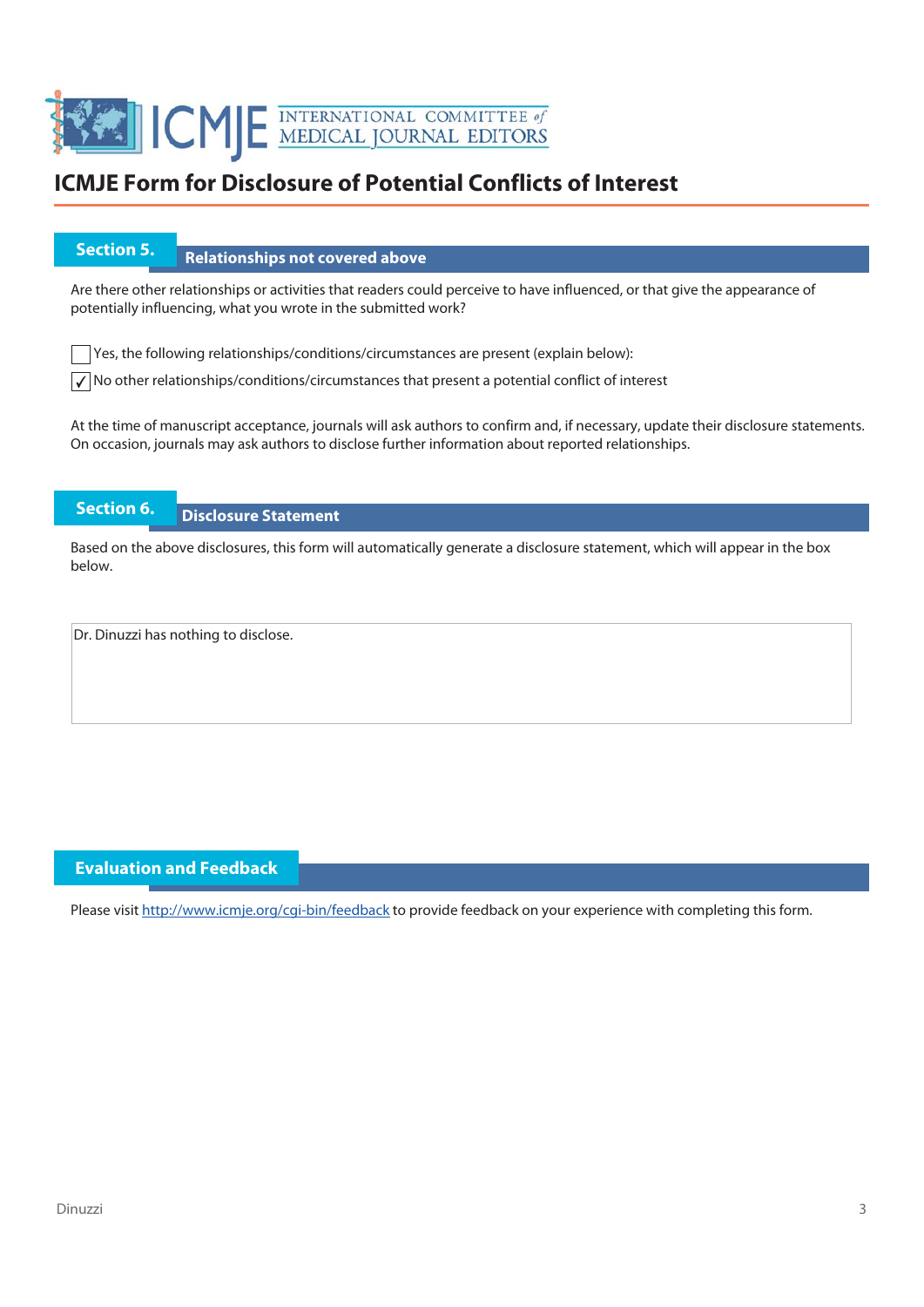

## **Section 5.** Relationships not covered above

Are there other relationships or activities that readers could perceive to have influenced, or that give the appearance of potentially influencing, what you wrote in the submitted work?

 $\Box$  Yes, the following relationships/conditions/circumstances are present (explain below):

 $\sqrt{\phantom{a}}$  No other relationships/conditions/circumstances that present a potential conflict of interest

At the time of manuscript acceptance, journals will ask authors to confirm and, if necessary, update their disclosure statements. On occasion, journals may ask authors to disclose further information about reported relationships.

## **Section 6. Disclosure Statement**

Based on the above disclosures, this form will automatically generate a disclosure statement, which will appear in the box below.

Dr. Dinuzzi has nothing to disclose.

## **Evaluation and Feedback**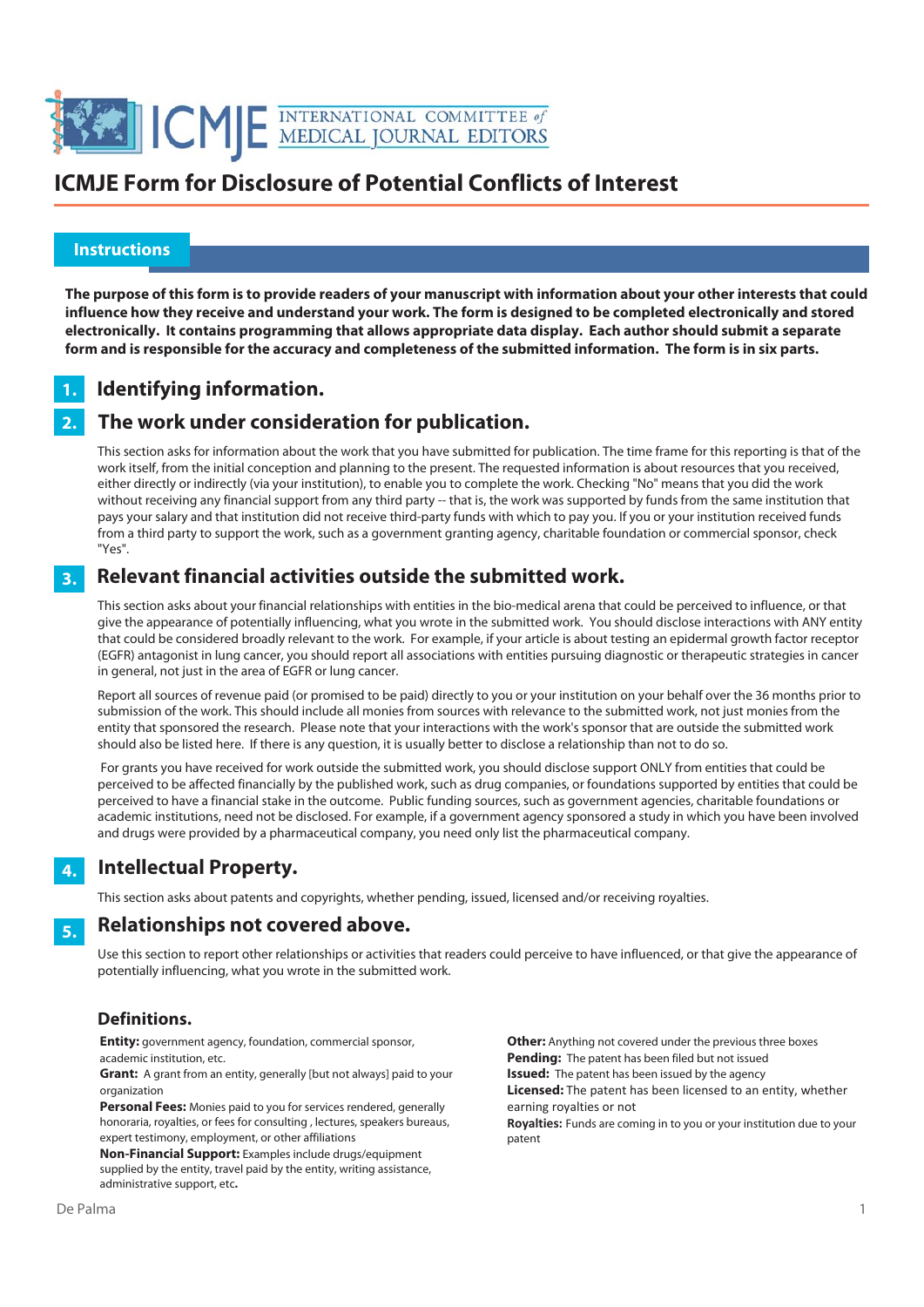

### **Instructions**

 l

> **The purpose of this form is to provide readers of your manuscript with information about your other interests that could influence how they receive and understand your work. The form is designed to be completed electronically and stored electronically. It contains programming that allows appropriate data display. Each author should submit a separate form and is responsible for the accuracy and completeness of the submitted information. The form is in six parts.**

#### **Identifying information. 1.**

### **The work under consideration for publication. 2.**

This section asks for information about the work that you have submitted for publication. The time frame for this reporting is that of the work itself, from the initial conception and planning to the present. The requested information is about resources that you received, either directly or indirectly (via your institution), to enable you to complete the work. Checking "No" means that you did the work without receiving any financial support from any third party -- that is, the work was supported by funds from the same institution that pays your salary and that institution did not receive third-party funds with which to pay you. If you or your institution received funds from a third party to support the work, such as a government granting agency, charitable foundation or commercial sponsor, check "Yes".

#### **Relevant financial activities outside the submitted work. 3.**

This section asks about your financial relationships with entities in the bio-medical arena that could be perceived to influence, or that give the appearance of potentially influencing, what you wrote in the submitted work. You should disclose interactions with ANY entity that could be considered broadly relevant to the work. For example, if your article is about testing an epidermal growth factor receptor (EGFR) antagonist in lung cancer, you should report all associations with entities pursuing diagnostic or therapeutic strategies in cancer in general, not just in the area of EGFR or lung cancer.

Report all sources of revenue paid (or promised to be paid) directly to you or your institution on your behalf over the 36 months prior to submission of the work. This should include all monies from sources with relevance to the submitted work, not just monies from the entity that sponsored the research. Please note that your interactions with the work's sponsor that are outside the submitted work should also be listed here. If there is any question, it is usually better to disclose a relationship than not to do so.

 For grants you have received for work outside the submitted work, you should disclose support ONLY from entities that could be perceived to be affected financially by the published work, such as drug companies, or foundations supported by entities that could be perceived to have a financial stake in the outcome. Public funding sources, such as government agencies, charitable foundations or academic institutions, need not be disclosed. For example, if a government agency sponsored a study in which you have been involved and drugs were provided by a pharmaceutical company, you need only list the pharmaceutical company.

### **Intellectual Property. 4.**

This section asks about patents and copyrights, whether pending, issued, licensed and/or receiving royalties.

### **Relationships not covered above. 5.**

Use this section to report other relationships or activities that readers could perceive to have influenced, or that give the appearance of potentially influencing, what you wrote in the submitted work.

## **Definitions.**

**Entity:** government agency, foundation, commercial sponsor, academic institution, etc.

**Grant:** A grant from an entity, generally [but not always] paid to your organization

**Personal Fees:** Monies paid to you for services rendered, generally honoraria, royalties, or fees for consulting , lectures, speakers bureaus, expert testimony, employment, or other affiliations

**Non-Financial Support:** Examples include drugs/equipment supplied by the entity, travel paid by the entity, writing assistance, administrative support, etc**.**

**Other:** Anything not covered under the previous three boxes **Pending:** The patent has been filed but not issued **Issued:** The patent has been issued by the agency **Licensed:** The patent has been licensed to an entity, whether earning royalties or not **Royalties:** Funds are coming in to you or your institution due to your patent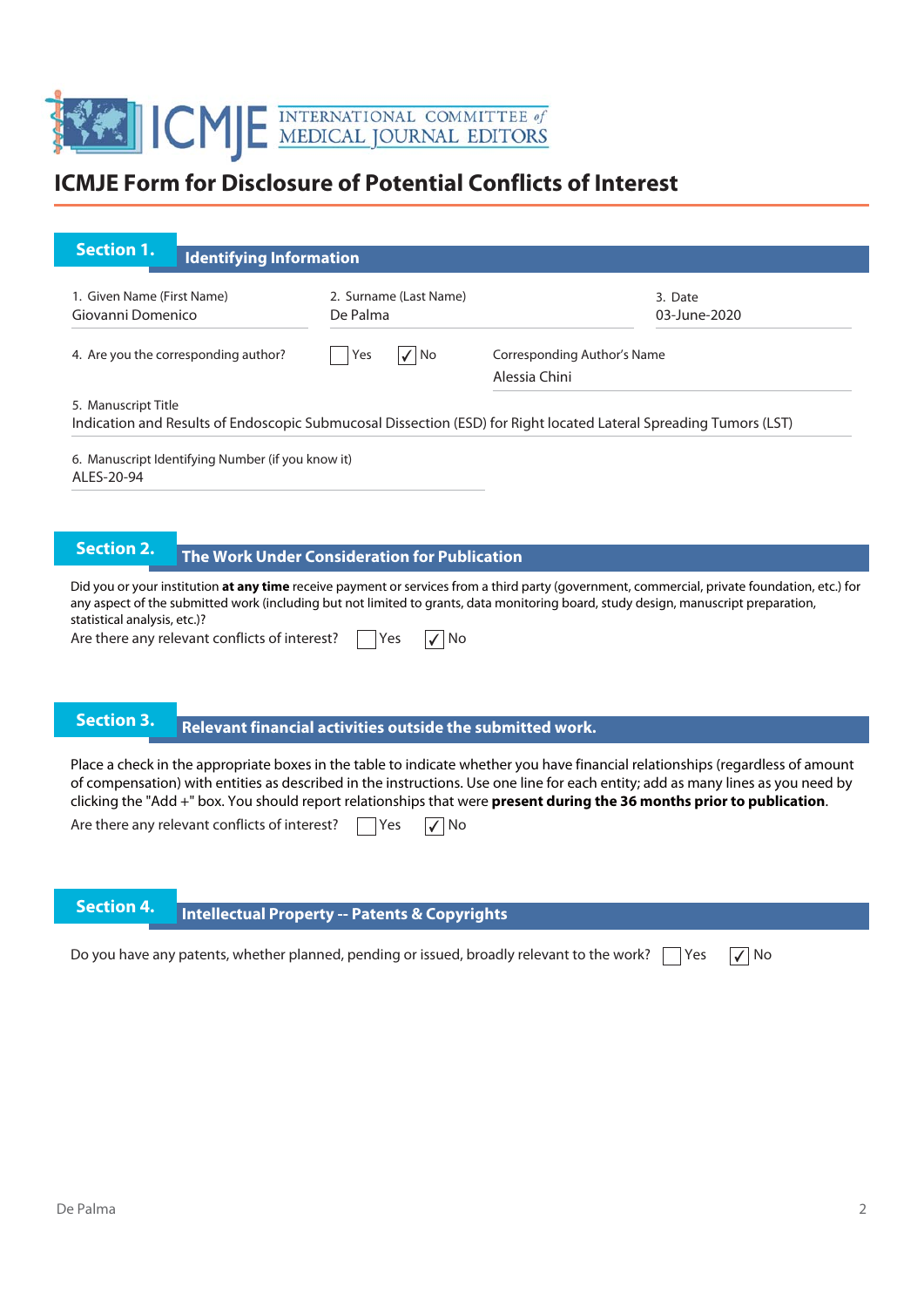

| Section 1.                                                                                                                                                                                                                                                                                                                                                                                                                                                     | <b>Identifying Information</b>                                                                                    |                                    |                                                                                            |                               |  |
|----------------------------------------------------------------------------------------------------------------------------------------------------------------------------------------------------------------------------------------------------------------------------------------------------------------------------------------------------------------------------------------------------------------------------------------------------------------|-------------------------------------------------------------------------------------------------------------------|------------------------------------|--------------------------------------------------------------------------------------------|-------------------------------|--|
| 1. Given Name (First Name)<br>Giovanni Domenico                                                                                                                                                                                                                                                                                                                                                                                                                |                                                                                                                   | 2. Surname (Last Name)<br>De Palma |                                                                                            | 3. Date<br>03-June-2020       |  |
| 4. Are you the corresponding author?                                                                                                                                                                                                                                                                                                                                                                                                                           | Yes                                                                                                               | ✓<br>No                            | Corresponding Author's Name<br>Alessia Chini                                               |                               |  |
| 5. Manuscript Title                                                                                                                                                                                                                                                                                                                                                                                                                                            | Indication and Results of Endoscopic Submucosal Dissection (ESD) for Right located Lateral Spreading Tumors (LST) |                                    |                                                                                            |                               |  |
| 6. Manuscript Identifying Number (if you know it)<br>ALES-20-94                                                                                                                                                                                                                                                                                                                                                                                                |                                                                                                                   |                                    |                                                                                            |                               |  |
|                                                                                                                                                                                                                                                                                                                                                                                                                                                                |                                                                                                                   |                                    |                                                                                            |                               |  |
| <b>Section 2.</b>                                                                                                                                                                                                                                                                                                                                                                                                                                              | <b>The Work Under Consideration for Publication</b>                                                               |                                    |                                                                                            |                               |  |
| Did you or your institution at any time receive payment or services from a third party (government, commercial, private foundation, etc.) for<br>any aspect of the submitted work (including but not limited to grants, data monitoring board, study design, manuscript preparation,<br>statistical analysis, etc.)?<br>Are there any relevant conflicts of interest?<br>No<br>Yes<br>✓                                                                        |                                                                                                                   |                                    |                                                                                            |                               |  |
| <b>Section 3.</b><br>Relevant financial activities outside the submitted work.                                                                                                                                                                                                                                                                                                                                                                                 |                                                                                                                   |                                    |                                                                                            |                               |  |
| Place a check in the appropriate boxes in the table to indicate whether you have financial relationships (regardless of amount<br>of compensation) with entities as described in the instructions. Use one line for each entity; add as many lines as you need by<br>clicking the "Add +" box. You should report relationships that were present during the 36 months prior to publication.<br>Are there any relevant conflicts of interest?<br>No<br>Yes<br>✓ |                                                                                                                   |                                    |                                                                                            |                               |  |
| <b>Section 4.</b>                                                                                                                                                                                                                                                                                                                                                                                                                                              | <b>Intellectual Property -- Patents &amp; Copyrights</b>                                                          |                                    |                                                                                            |                               |  |
|                                                                                                                                                                                                                                                                                                                                                                                                                                                                |                                                                                                                   |                                    | Do you have any patents, whether planned, pending or issued, broadly relevant to the work? | <b>No</b><br>Yes<br>$\sqrt{}$ |  |